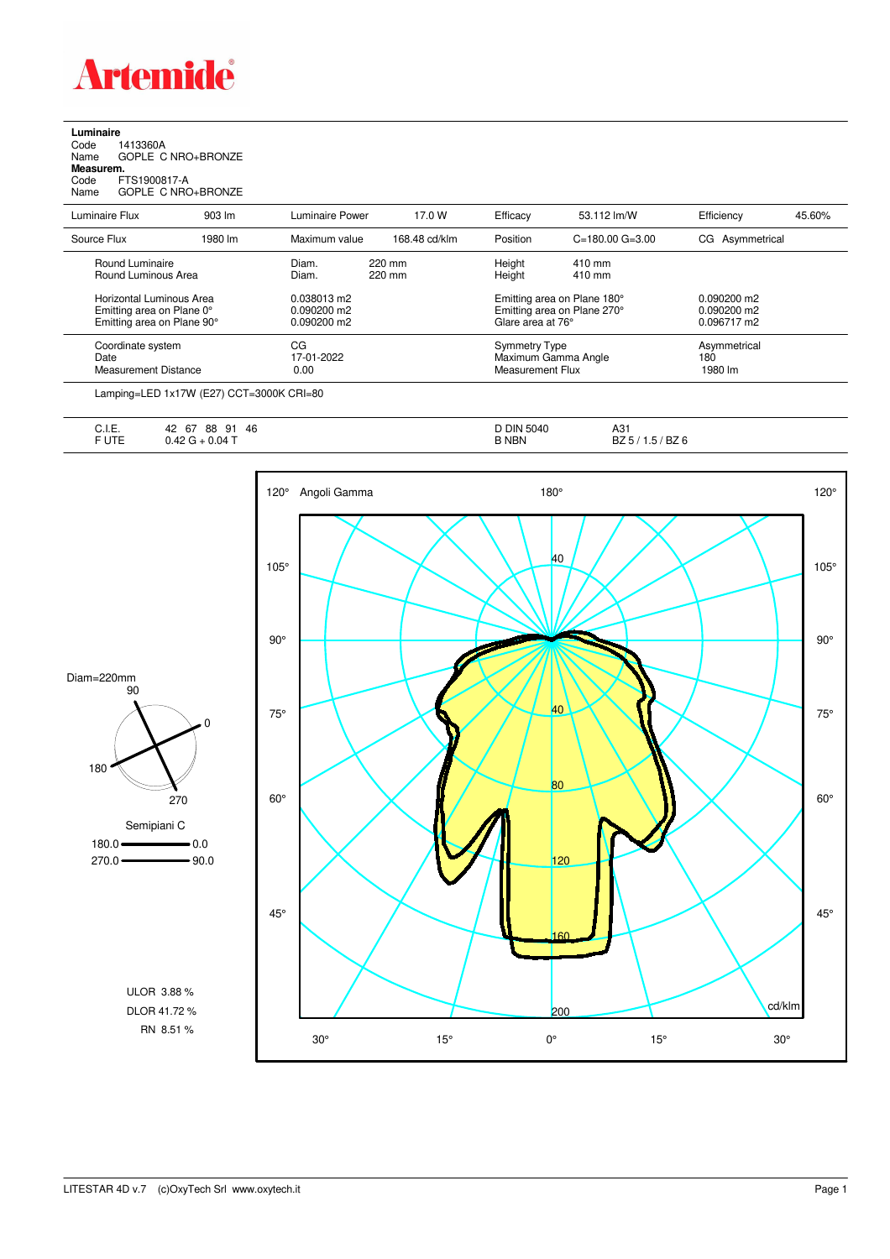

**Luminaire**<br>Code 1<br>Name ( Code 1413360A Name GOPLE C NRO+BRONZE **Measurem.**

Code FTS1900817-A Name GOPLE C NRO+BRONZE

| Luminaire Flux                                                                      | 903 lm  | Luminaire Power                                      | 17.0 W           | Efficacy                                                                        | 53.112 lm/W             | Efficiency                                    | 45.60% |
|-------------------------------------------------------------------------------------|---------|------------------------------------------------------|------------------|---------------------------------------------------------------------------------|-------------------------|-----------------------------------------------|--------|
| Source Flux                                                                         | 1980 lm | Maximum value                                        | 168.48 cd/klm    | Position                                                                        | $C = 180.00$ $G = 3.00$ | CG Asymmetrical                               |        |
| Round Luminaire<br>Round Luminous Area                                              |         | Diam.<br>Diam.                                       | 220 mm<br>220 mm | Height<br>Height                                                                | 410 mm<br>410 mm        |                                               |        |
| Horizontal Luminous Area<br>Emitting area on Plane 0°<br>Emitting area on Plane 90° |         | 0.038013 m2<br>$0.090200 \text{ m}$<br>$0.090200$ m2 |                  | Emitting area on Plane 180°<br>Emitting area on Plane 270°<br>Glare area at 76° |                         | $0.090200$ m2<br>$0.090200$ m2<br>0.096717 m2 |        |
| Coordinate system<br>Date<br><b>Measurement Distance</b>                            |         | CG.<br>17-01-2022<br>0.00                            |                  | <b>Symmetry Type</b><br>Maximum Gamma Angle<br>Measurement Flux                 |                         | Asymmetrical<br>180<br>1980 lm                |        |

Lamping=LED 1x17W (E27) CCT=3000K CRI=80

| . .<br>◡.୲.∟. | 46<br>88<br>67<br>۵۱<br>42<br>ັບເ | <b>D DIN 5040</b> | $\Lambda$<br>ו טר <i>ו</i> |
|---------------|-----------------------------------|-------------------|----------------------------|
| ----<br>. .   | $0.04$ T<br>◡…                    | <b>NBN</b>        | BZ 6<br>BZ 5.<br>ن. ا      |